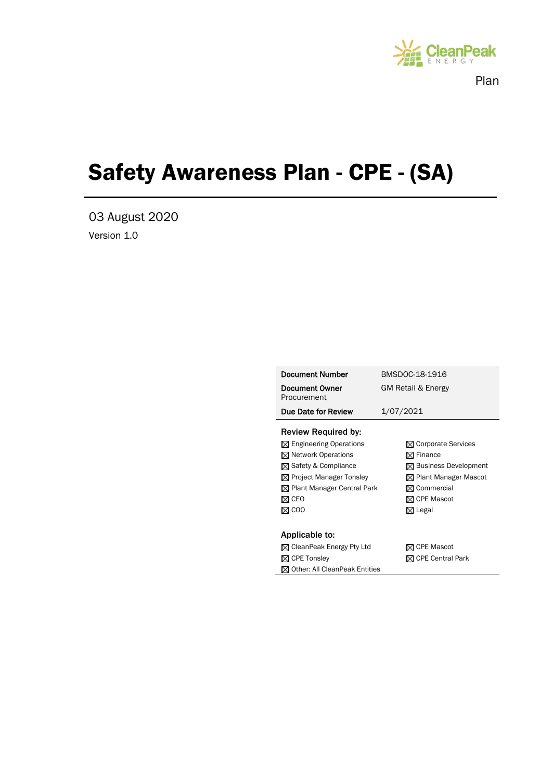

Plan

# Safety Awareness Plan - CPE - (SA)

03 August 2020 Version 1.0

| <b>Document Number</b>                    | BMSDOC-18-1916                   |
|-------------------------------------------|----------------------------------|
| Document Owner<br>Procurement             | GM Retail & Energy               |
| Due Date for Review                       | 1/07/2021                        |
| <b>Review Required by:</b>                |                                  |
| $\boxtimes$ Engineering Operations        | $\boxtimes$ Corporate Services   |
| $\boxtimes$ Network Operations            | $\boxtimes$ Finance              |
| $\boxtimes$ Safety & Compliance           | $\boxtimes$ Business Development |
| $\boxtimes$ Project Manager Tonsley       | $\boxtimes$ Plant Manager Mascot |
| $\boxtimes$ Plant Manager Central Park    | ⊠ Commercial                     |
| ⊠ сео                                     | <b>⊠ CPE Mascot</b>              |
| M COO                                     | $\boxtimes$ Legal                |
|                                           |                                  |
| Applicable to:                            |                                  |
| $\boxtimes$ CleanPeak Energy Pty Ltd      | ⊠ CPE Mascot                     |
| $\boxtimes$ CPE Tonsley                   | $\boxtimes$ CPE Central Park     |
| $\boxtimes$ Other: All CleanPeak Entities |                                  |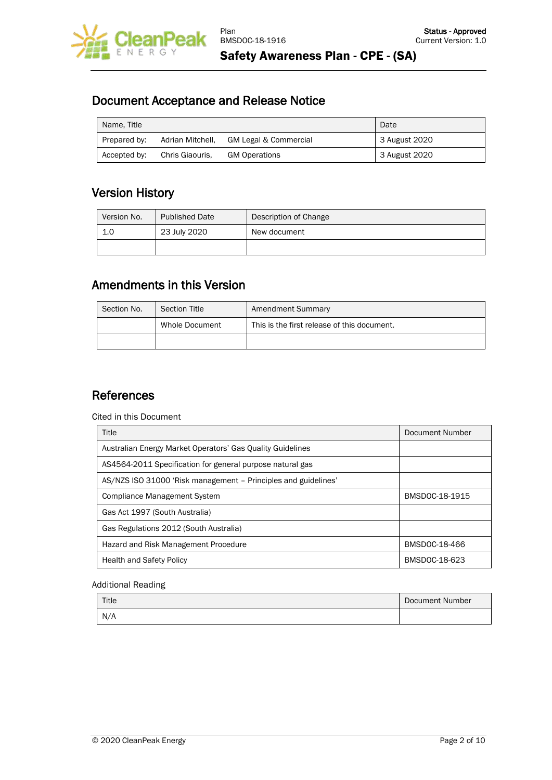

Document Acceptance and Release Notice

| Name, Title  |                  | Date                             |                            |
|--------------|------------------|----------------------------------|----------------------------|
| Prepared by: | Adrian Mitchell, | <b>GM Legal &amp; Commercial</b> | 3 August 2020              |
| Accepted by: | Chris Giaouris.  | <b>GM Operations</b>             | <sup>1</sup> 3 August 2020 |

# Version History

| Version No. | <b>Published Date</b> | Description of Change |
|-------------|-----------------------|-----------------------|
| 1.0         | 23 July 2020          | New document          |
|             |                       |                       |

### Amendments in this Version

| Section No. | <b>Section Title</b> | Amendment Summary                           |
|-------------|----------------------|---------------------------------------------|
|             | Whole Document       | This is the first release of this document. |
|             |                      |                                             |

# **References**

Cited in this Document

| Title                                                          | Document Number |
|----------------------------------------------------------------|-----------------|
| Australian Energy Market Operators' Gas Quality Guidelines     |                 |
| AS4564-2011 Specification for general purpose natural gas      |                 |
| AS/NZS ISO 31000 'Risk management – Principles and guidelines' |                 |
| <b>Compliance Management System</b>                            | BMSDOC-18-1915  |
| Gas Act 1997 (South Australia)                                 |                 |
| Gas Regulations 2012 (South Australia)                         |                 |
| Hazard and Risk Management Procedure                           | BMSDOC-18-466   |
| <b>Health and Safety Policy</b>                                | BMSDOC-18-623   |

#### Additional Reading

| Title | Document Number |
|-------|-----------------|
| N/A   |                 |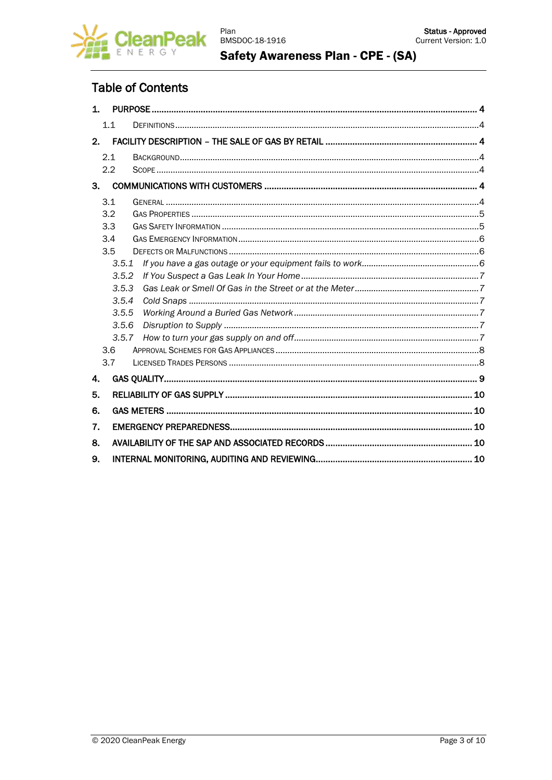

### **Table of Contents**

| 1. |       |  |  |
|----|-------|--|--|
|    | 1.1   |  |  |
| 2. |       |  |  |
|    | 2.1   |  |  |
|    | 2.2   |  |  |
| 3. |       |  |  |
|    | 3.1   |  |  |
|    | 3.2   |  |  |
|    | 3.3   |  |  |
|    | 3.4   |  |  |
|    | 3.5   |  |  |
|    | 3.5.1 |  |  |
|    | 3.5.2 |  |  |
|    | 3.5.3 |  |  |
|    | 3.5.4 |  |  |
|    | 3.5.5 |  |  |
|    | 3.5.6 |  |  |
|    | 3.5.7 |  |  |
|    | 3.6   |  |  |
|    | 3.7   |  |  |
| 4. |       |  |  |
| 5. |       |  |  |
| 6. |       |  |  |
| 7. |       |  |  |
| 8. |       |  |  |
| 9. |       |  |  |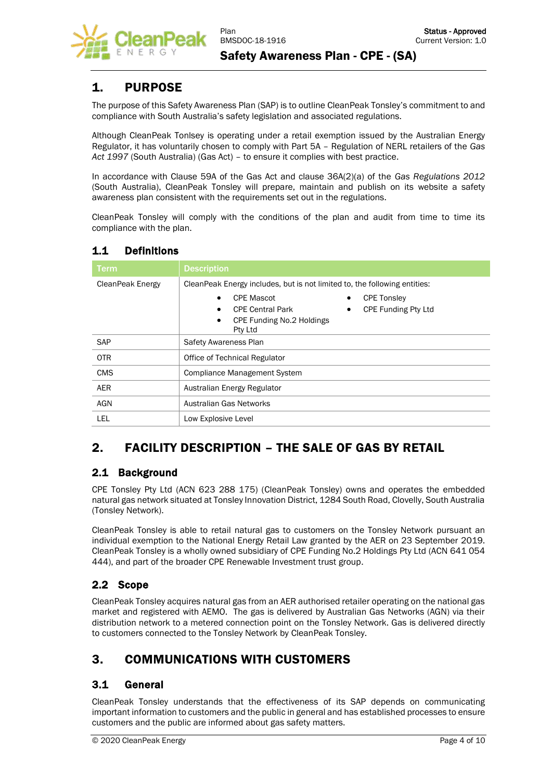

### <span id="page-3-0"></span>1. PURPOSE

The purpose of this Safety Awareness Plan (SAP) is to outline CleanPeak Tonsley's commitment to and compliance with South Australia's safety legislation and associated regulations.

Although CleanPeak Tonlsey is operating under a retail exemption issued by the Australian Energy Regulator, it has voluntarily chosen to comply with Part 5A – Regulation of NERL retailers of the *Gas Act 1997* (South Australia) (Gas Act) – to ensure it complies with best practice.

In accordance with Clause 59A of the Gas Act and clause 36A(2)(a) of the *Gas Regulations 2012* (South Australia), CleanPeak Tonsley will prepare, maintain and publish on its website a safety awareness plan consistent with the requirements set out in the regulations.

CleanPeak Tonsley will comply with the conditions of the plan and audit from time to time its compliance with the plan.

| <b>Term</b>      | <b>Description</b>                                                                                                                                    |  |
|------------------|-------------------------------------------------------------------------------------------------------------------------------------------------------|--|
| CleanPeak Energy | CleanPeak Energy includes, but is not limited to, the following entities:                                                                             |  |
|                  | <b>CPE Mascot</b><br><b>CPE Tonsley</b><br><b>CPE Funding Pty Ltd</b><br><b>CPE Central Park</b><br>CPE Funding No.2 Holdings<br>$\bullet$<br>Pty Ltd |  |
| <b>SAP</b>       | Safety Awareness Plan                                                                                                                                 |  |
| <b>OTR</b>       | Office of Technical Regulator                                                                                                                         |  |
| <b>CMS</b>       | <b>Compliance Management System</b>                                                                                                                   |  |
| <b>AER</b>       | Australian Energy Regulator                                                                                                                           |  |
| <b>AGN</b>       | Australian Gas Networks                                                                                                                               |  |
| LEL              | Low Explosive Level                                                                                                                                   |  |

### <span id="page-3-1"></span>1.1 Definitions

# <span id="page-3-2"></span>2. FACILITY DESCRIPTION – THE SALE OF GAS BY RETAIL

### <span id="page-3-3"></span>2.1 Background

CPE Tonsley Pty Ltd (ACN 623 288 175) (CleanPeak Tonsley) owns and operates the embedded natural gas network situated at Tonsley Innovation District, 1284 South Road, Clovelly, South Australia (Tonsley Network).

CleanPeak Tonsley is able to retail natural gas to customers on the Tonsley Network pursuant an individual exemption to the National Energy Retail Law granted by the AER on 23 September 2019. CleanPeak Tonsley is a wholly owned subsidiary of CPE Funding No.2 Holdings Pty Ltd (ACN 641 054 444), and part of the broader CPE Renewable Investment trust group.

### <span id="page-3-4"></span>2.2 Scope

CleanPeak Tonsley acquires natural gas from an AER authorised retailer operating on the national gas market and registered with AEMO. The gas is delivered by Australian Gas Networks (AGN) via their distribution network to a metered connection point on the Tonsley Network. Gas is delivered directly to customers connected to the Tonsley Network by CleanPeak Tonsley.

# <span id="page-3-5"></span>3. COMMUNICATIONS WITH CUSTOMERS

### <span id="page-3-6"></span>3.1 General

CleanPeak Tonsley understands that the effectiveness of its SAP depends on communicating important information to customers and the public in general and has established processes to ensure customers and the public are informed about gas safety matters.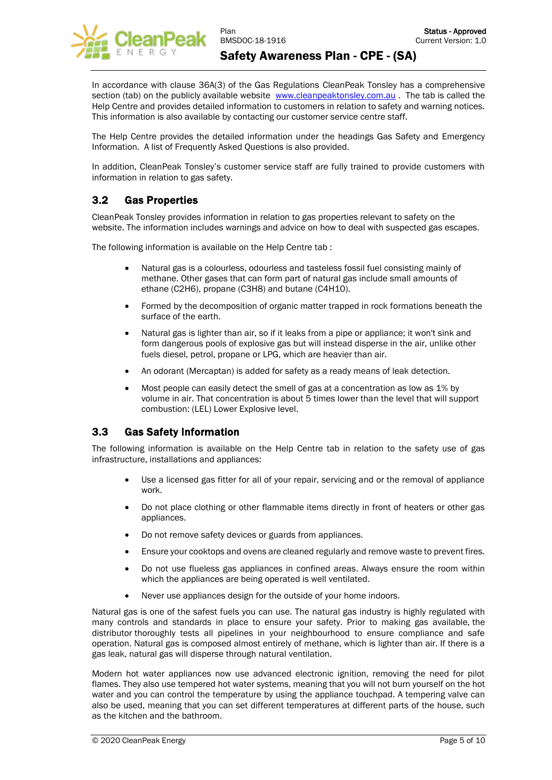

In accordance with clause 36A(3) of the Gas Regulations CleanPeak Tonsley has a comprehensive section (tab) on the publicly available website [www.cleanpeaktonsley.com.au](http://www.cleanpeaktonsley.com.au/) . The tab is called the Help Centre and provides detailed information to customers in relation to safety and warning notices. This information is also available by contacting our customer service centre staff.

The Help Centre provides the detailed information under the headings Gas Safety and Emergency Information. A list of Frequently Asked Questions is also provided.

In addition, CleanPeak Tonsley's customer service staff are fully trained to provide customers with information in relation to gas safety.

### <span id="page-4-0"></span>3.2 Gas Properties

CleanPeak Tonsley provides information in relation to gas properties relevant to safety on the website. The information includes warnings and advice on how to deal with suspected gas escapes.

The following information is available on the Help Centre tab :

- Natural gas is a colourless, odourless and tasteless fossil fuel consisting mainly of methane. Other gases that can form part of natural gas include small amounts of ethane (C2H6), propane (C3H8) and butane (C4H10).
- Formed by the decomposition of organic matter trapped in rock formations beneath the surface of the earth.
- Natural gas is lighter than air, so if it leaks from a pipe or appliance; it won't sink and form dangerous pools of explosive gas but will instead disperse in the air, unlike other fuels diesel, petrol, propane or LPG, which are heavier than air.
- An odorant (Mercaptan) is added for safety as a ready means of leak detection.
- Most people can easily detect the smell of gas at a concentration as low as 1% by volume in air. That concentration is about 5 times lower than the level that will support combustion: (LEL) Lower Explosive level.

### <span id="page-4-1"></span>3.3 Gas Safety Information

The following information is available on the Help Centre tab in relation to the safety use of gas infrastructure, installations and appliances:

- Use a licensed gas fitter for all of your repair, servicing and or the removal of appliance work.
- Do not place clothing or other flammable items directly in front of heaters or other gas appliances.
- Do not remove safety devices or guards from appliances.
- Ensure your cooktops and ovens are cleaned regularly and remove waste to prevent fires.
- Do not use flueless gas appliances in confined areas. Always ensure the room within which the appliances are being operated is well ventilated.
- Never use appliances design for the outside of your home indoors.

Natural gas is one of the safest fuels you can use. The natural gas industry is highly regulated with many controls and standards in place to ensure your safety. Prior to making gas available, the distributor thoroughly tests all pipelines in your neighbourhood to ensure compliance and safe operation. Natural gas is composed almost entirely of methane, which is lighter than air. If there is a gas leak, natural gas will disperse through natural ventilation.

Modern hot water appliances now use advanced electronic ignition, removing the need for pilot flames. They also use tempered hot water systems, meaning that you will not burn yourself on the hot water and you can control the temperature by using the appliance touchpad. A tempering valve can also be used, meaning that you can set different temperatures at different parts of the house, such as the kitchen and the bathroom.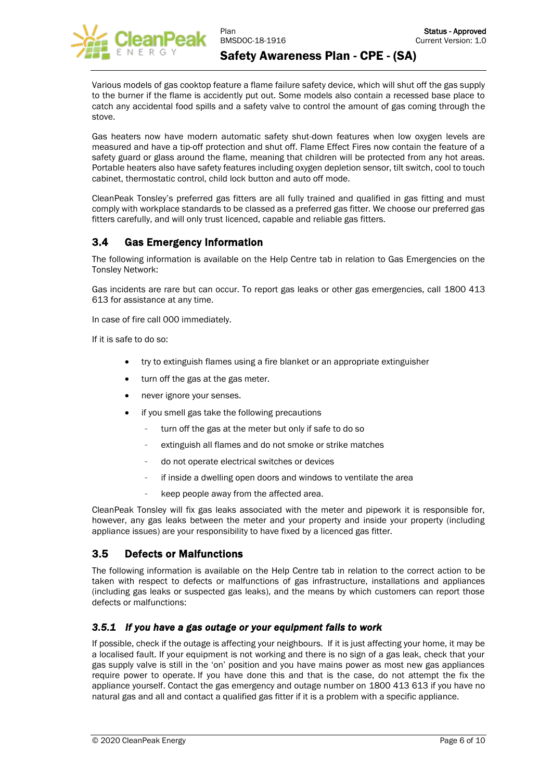

Various models of gas cooktop feature a flame failure safety device, which will shut off the gas supply to the burner if the flame is accidently put out. Some models also contain a recessed base place to catch any accidental food spills and a safety valve to control the amount of gas coming through the stove.

Gas heaters now have modern automatic safety shut-down features when low oxygen levels are measured and have a tip-off protection and shut off. Flame Effect Fires now contain the feature of a safety guard or glass around the flame, meaning that children will be protected from any hot areas. Portable heaters also have safety features including oxygen depletion sensor, tilt switch, cool to touch cabinet, thermostatic control, child lock button and auto off mode.

CleanPeak Tonsley's preferred gas fitters are all fully trained and qualified in gas fitting and must comply with workplace standards to be classed as a preferred gas fitter. We choose our preferred gas fitters carefully, and will only trust licenced, capable and reliable gas fitters.

### <span id="page-5-0"></span>3.4 Gas Emergency Information

The following information is available on the Help Centre tab in relation to Gas Emergencies on the Tonsley Network:

Gas incidents are rare but can occur. To report gas leaks or other gas emergencies, call 1800 413 613 for assistance at any time.

In case of fire call 000 immediately.

If it is safe to do so:

- try to extinguish flames using a fire blanket or an appropriate extinguisher
- turn off the gas at the gas meter.
- never ignore your senses.
- if you smell gas take the following precautions
	- turn off the gas at the meter but only if safe to do so
	- extinguish all flames and do not smoke or strike matches
	- do not operate electrical switches or devices
	- if inside a dwelling open doors and windows to ventilate the area
	- keep people away from the affected area.

CleanPeak Tonsley will fix gas leaks associated with the meter and pipework it is responsible for, however, any gas leaks between the meter and your property and inside your property (including appliance issues) are your responsibility to have fixed by a licenced gas fitter.

#### <span id="page-5-1"></span>3.5 Defects or Malfunctions

The following information is available on the Help Centre tab in relation to the correct action to be taken with respect to defects or malfunctions of gas infrastructure, installations and appliances (including gas leaks or suspected gas leaks), and the means by which customers can report those defects or malfunctions:

#### <span id="page-5-2"></span>*3.5.1 If you have a gas outage or your equipment fails to work*

If possible, check if the outage is affecting your neighbours. If it is just affecting your home, it may be a localised fault. If your equipment is not working and there is no sign of a gas leak, check that your gas supply valve is still in the 'on' position and you have mains power as most new gas appliances require power to operate. If you have done this and that is the case, do not attempt the fix the appliance yourself. Contact the gas emergency and outage number on 1800 413 613 if you have no natural gas and all and contact a qualified gas fitter if it is a problem with a specific appliance.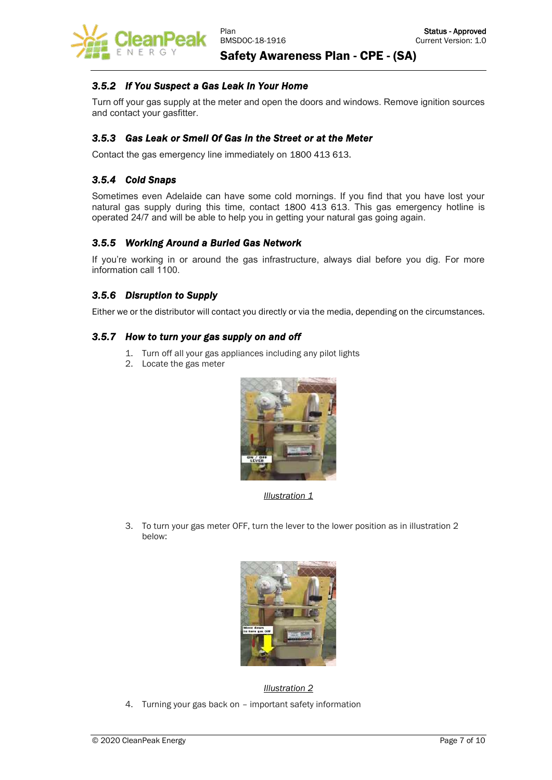

#### <span id="page-6-0"></span>*3.5.2 If You Suspect a Gas Leak In Your Home*

Turn off your gas supply at the meter and open the doors and windows. Remove ignition sources and contact your gasfitter.

#### <span id="page-6-1"></span>*3.5.3 Gas Leak or Smell Of Gas in the Street or at the Meter*

Contact the gas emergency line immediately on 1800 413 613.

#### <span id="page-6-2"></span>*3.5.4 Cold Snaps*

Sometimes even Adelaide can have some cold mornings. If you find that you have lost your natural gas supply during this time, contact 1800 413 613. This gas emergency hotline is operated 24/7 and will be able to help you in getting your natural gas going again.

#### <span id="page-6-3"></span>*3.5.5 Working Around a Buried Gas Network*

If you're working in or around the gas infrastructure, always dial before you dig. For more information call 1100.

#### <span id="page-6-4"></span>*3.5.6 Disruption to Supply*

Either we or the distributor will contact you directly or via the media, depending on the circumstances.

#### <span id="page-6-5"></span>*3.5.7 How to turn your gas supply on and off*

- 1. Turn off all your gas appliances including any pilot lights
- 2. Locate the gas meter



*Illustration 1*

3. To turn your gas meter OFF, turn the lever to the lower position as in illustration 2 below:



*Illustration 2*

4. Turning your gas back on – important safety information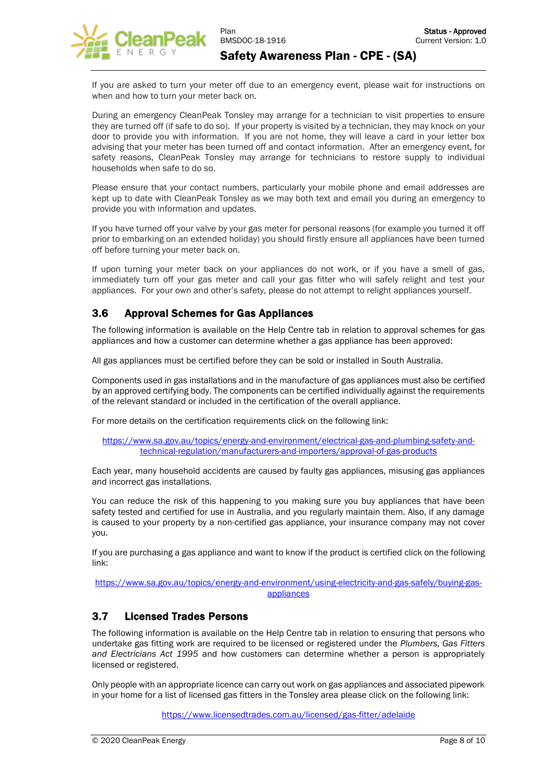

If you are asked to turn your meter off due to an emergency event, please wait for instructions on when and how to turn your meter back on.

During an emergency CleanPeak Tonsley may arrange for a technician to visit properties to ensure they are turned off (if safe to do so). If your property is visited by a technician, they may knock on your door to provide you with information. If you are not home, they will leave a card in your letter box advising that your meter has been turned off and contact information. After an emergency event, for safety reasons, CleanPeak Tonsley may arrange for technicians to restore supply to individual households when safe to do so.

Please ensure that your contact numbers, particularly your mobile phone and email addresses are kept up to date with CleanPeak Tonsley as we may both text and email you during an emergency to provide you with information and updates.

If you have turned off your valve by your gas meter for personal reasons (for example you turned it off prior to embarking on an extended holiday) you should firstly ensure all appliances have been turned off before turning your meter back on.

If upon turning your meter back on your appliances do not work, or if you have a smell of gas, immediately turn off your gas meter and call your gas fitter who will safely relight and test your appliances. For your own and other's safety, please do not attempt to relight appliances yourself.

### <span id="page-7-0"></span>3.6 Approval Schemes for Gas Appliances

The following information is available on the Help Centre tab in relation to approval schemes for gas appliances and how a customer can determine whether a gas appliance has been approved:

All gas appliances must be certified before they can be sold or installed in South Australia.

Components used in gas installations and in the manufacture of gas appliances must also be certified by an approved certifying body. The components can be certified individually against the requirements of the relevant standard or included in the certification of the overall appliance.

For more details on the certification requirements click on the following link:

[https://www.sa.gov.au/topics/energy-and-environment/electrical-gas-and-plumbing-safety-and](https://www.sa.gov.au/topics/energy-and-environment/electrical-gas-and-plumbing-safety-and-technical-regulation/manufacturers-and-importers/approval-of-gas-products)[technical-regulation/manufacturers-and-importers/approval-of-gas-products](https://www.sa.gov.au/topics/energy-and-environment/electrical-gas-and-plumbing-safety-and-technical-regulation/manufacturers-and-importers/approval-of-gas-products)

Each year, many household accidents are caused by faulty gas appliances, misusing gas appliances and incorrect gas installations.

You can reduce the risk of this happening to you making sure you buy appliances that have been safety tested and certified for use in Australia, and you regularly maintain them. Also, if any damage is caused to your property by a non-certified gas appliance, your insurance company may not cover you.

If you are purchasing a gas appliance and want to know if the product is certified click on the following link:

[https://www.sa.gov.au/topics/energy-and-environment/using-electricity-and-gas-safely/buying-gas](https://www.sa.gov.au/topics/energy-and-environment/using-electricity-and-gas-safely/buying-gas-appliances)[appliances](https://www.sa.gov.au/topics/energy-and-environment/using-electricity-and-gas-safely/buying-gas-appliances)

### <span id="page-7-1"></span>3.7 Licensed Trades Persons

The following information is available on the Help Centre tab in relation to ensuring that persons who undertake gas fitting work are required to be licensed or registered under the *Plumbers, Gas Fitters and Electricians Act 1995* and how customers can determine whether a person is appropriately licensed or registered.

Only people with an appropriate licence can carry out work on gas appliances and associated pipework in your home for a list of licensed gas fitters in the Tonsley area please click on the following link:

<https://www.licensedtrades.com.au/licensed/gas-fitter/adelaide>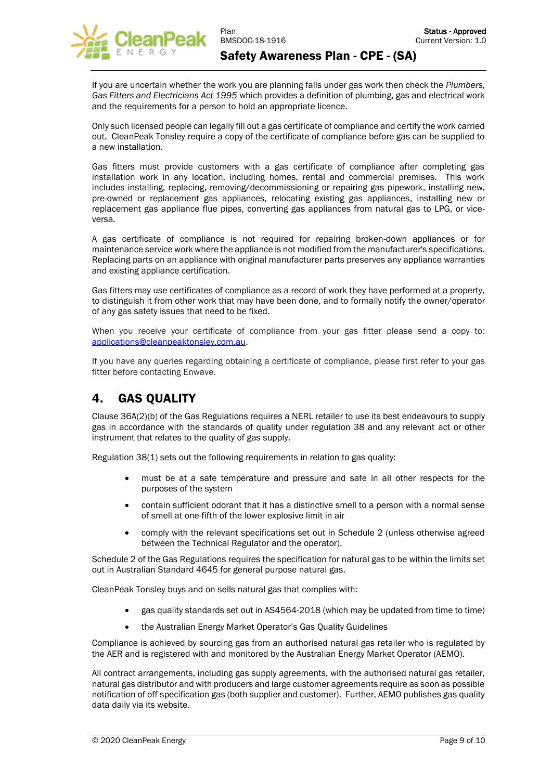

If you are uncertain whether the work you are planning falls under gas work then check the *[Plumbers,](https://www.sa.gov.au/topics/energy-and-environment/electrical-gas-and-plumbing-safety-and-technical-regulation/acts,-regulations-and-standards/gas-acts-regulations-and-standards)  [Gas Fitters and Electricians Act 1995](https://www.sa.gov.au/topics/energy-and-environment/electrical-gas-and-plumbing-safety-and-technical-regulation/acts,-regulations-and-standards/gas-acts-regulations-and-standards)* which provides a definition of plumbing, gas and electrical work and the requirements for a person to hold an appropriate licence.

Only such licensed people can legally fill out a gas certificate of compliance and certify the work carried out. CleanPeak Tonsley require a copy of the certificate of compliance before gas can be supplied to a new installation.

Gas fitters must provide customers with a gas certificate of compliance after completing gas installation work in any location, including homes, rental and commercial premises. This work includes installing, replacing, removing/decommissioning or repairing gas pipework, installing new, pre-owned or replacement gas appliances, relocating existing gas appliances, installing new or replacement gas appliance flue pipes, converting gas appliances from natural gas to LPG, or viceversa.

A gas certificate of compliance is not required for repairing broken-down appliances or for maintenance service work where the appliance is not modified from the manufacturer's specifications. Replacing parts on an appliance with original manufacturer parts preserves any appliance warranties and existing appliance certification.

Gas fitters may use certificates of compliance as a record of work they have performed at a property, to distinguish it from other work that may have been done, and to formally notify the owner/operator of any gas safety issues that need to be fixed.

When you receive your certificate of compliance from your gas fitter please send a copy to: [applications@](mailto:applications)cleanpeaktonsley.com.au.

If you have any queries regarding obtaining a certificate of compliance, please first refer to your gas fitter before contacting Enwave.

# <span id="page-8-0"></span>4. GAS QUALITY

Clause 36A(2)(b) of the Gas Regulations requires a NERL retailer to use its best endeavours to supply gas in accordance with the standards of quality under regulation 38 and any relevant act or other instrument that relates to the quality of gas supply.

Regulation 38(1) sets out the following requirements in relation to gas quality:

- must be at a safe temperature and pressure and safe in all other respects for the purposes of the system
- contain sufficient odorant that it has a distinctive smell to a person with a normal sense of smell at one-fifth of the lower explosive limit in air
- comply with the relevant specifications set out in Schedule 2 (unless otherwise agreed between the Technical Regulator and the operator).

Schedule 2 of the Gas Regulations requires the specification for natural gas to be within the limits set out in Australian Standard 4645 for general purpose natural gas.

CleanPeak Tonsley buys and on-sells natural gas that complies with:

- gas quality standards set out in AS4564-2018 (which may be updated from time to time)
- the Australian Energy Market Operator's Gas Quality Guidelines

Compliance is achieved by sourcing gas from an authorised natural gas retailer who is regulated by the AER and is registered with and monitored by the Australian Energy Market Operator (AEMO).

All contract arrangements, including gas supply agreements, with the authorised natural gas retailer, natural gas distributor and with producers and large customer agreements require as soon as possible notification of off-specification gas (both supplier and customer). Further, AEMO publishes gas quality data daily via its website.